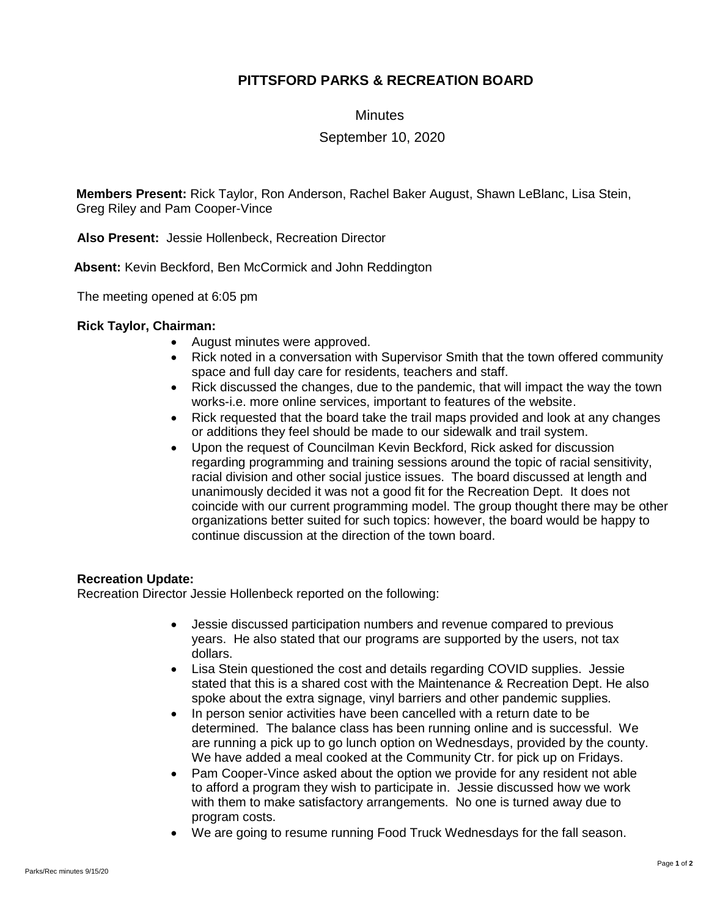## **PITTSFORD PARKS & RECREATION BOARD**

**Minutes** 

September 10, 2020

**Members Present:** Rick Taylor, Ron Anderson, Rachel Baker August, Shawn LeBlanc, Lisa Stein, Greg Riley and Pam Cooper-Vince

**Also Present:** Jessie Hollenbeck, Recreation Director

 **Absent:** Kevin Beckford, Ben McCormick and John Reddington

The meeting opened at 6:05 pm

## **Rick Taylor, Chairman:**

- August minutes were approved.
- Rick noted in a conversation with Supervisor Smith that the town offered community space and full day care for residents, teachers and staff.
- Rick discussed the changes, due to the pandemic, that will impact the way the town works-i.e. more online services, important to features of the website.
- Rick requested that the board take the trail maps provided and look at any changes or additions they feel should be made to our sidewalk and trail system.
- Upon the request of Councilman Kevin Beckford, Rick asked for discussion regarding programming and training sessions around the topic of racial sensitivity, racial division and other social justice issues. The board discussed at length and unanimously decided it was not a good fit for the Recreation Dept. It does not coincide with our current programming model. The group thought there may be other organizations better suited for such topics: however, the board would be happy to continue discussion at the direction of the town board.

## **Recreation Update:**

Recreation Director Jessie Hollenbeck reported on the following:

- Jessie discussed participation numbers and revenue compared to previous years. He also stated that our programs are supported by the users, not tax dollars.
- Lisa Stein questioned the cost and details regarding COVID supplies. Jessie stated that this is a shared cost with the Maintenance & Recreation Dept. He also spoke about the extra signage, vinyl barriers and other pandemic supplies.
- In person senior activities have been cancelled with a return date to be determined. The balance class has been running online and is successful. We are running a pick up to go lunch option on Wednesdays, provided by the county. We have added a meal cooked at the Community Ctr. for pick up on Fridays.
- Pam Cooper-Vince asked about the option we provide for any resident not able to afford a program they wish to participate in. Jessie discussed how we work with them to make satisfactory arrangements. No one is turned away due to program costs.
- We are going to resume running Food Truck Wednesdays for the fall season.